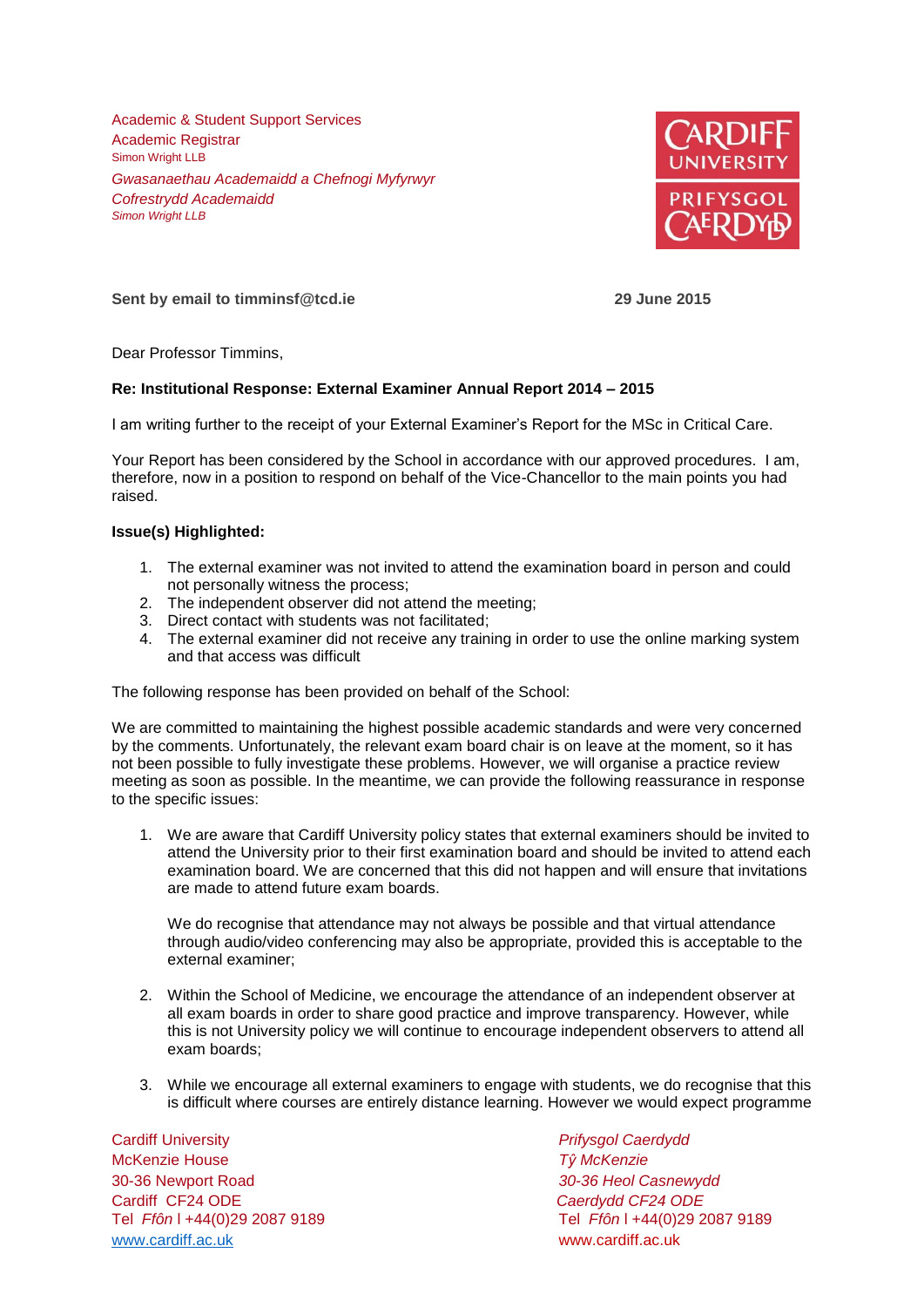Academic & Student Support Services Academic Registrar Simon Wright LLB *Gwasanaethau Academaidd a Chefnogi Myfyrwyr Cofrestrydd Academaidd Simon Wright LLB*



**Sent by email to timminsf@tcd.ie 29 June 2015**

Dear Professor Timmins,

## **Re: Institutional Response: External Examiner Annual Report 2014 – 2015**

I am writing further to the receipt of your External Examiner's Report for the MSc in Critical Care.

Your Report has been considered by the School in accordance with our approved procedures. I am, therefore, now in a position to respond on behalf of the Vice-Chancellor to the main points you had raised.

## **Issue(s) Highlighted:**

- 1. The external examiner was not invited to attend the examination board in person and could not personally witness the process;
- 2. The independent observer did not attend the meeting;
- 3. Direct contact with students was not facilitated;
- 4. The external examiner did not receive any training in order to use the online marking system and that access was difficult

The following response has been provided on behalf of the School:

We are committed to maintaining the highest possible academic standards and were very concerned by the comments. Unfortunately, the relevant exam board chair is on leave at the moment, so it has not been possible to fully investigate these problems. However, we will organise a practice review meeting as soon as possible. In the meantime, we can provide the following reassurance in response to the specific issues:

1. We are aware that Cardiff University policy states that external examiners should be invited to attend the University prior to their first examination board and should be invited to attend each examination board. We are concerned that this did not happen and will ensure that invitations are made to attend future exam boards.

We do recognise that attendance may not always be possible and that virtual attendance through audio/video conferencing may also be appropriate, provided this is acceptable to the external examiner;

- 2. Within the School of Medicine, we encourage the attendance of an independent observer at all exam boards in order to share good practice and improve transparency. However, while this is not University policy we will continue to encourage independent observers to attend all exam boards;
- 3. While we encourage all external examiners to engage with students, we do recognise that this is difficult where courses are entirely distance learning. However we would expect programme

Cardiff University *Prifysgol Caerdydd* McKenzie House *Tŷ McKenzie* 30-36 Newport Road *30-36 Heol Casnewydd* Cardiff CF24 ODE *Caerdydd CF24 ODE* [www.cardiff.ac.uk](http://www.cardiff.ac.uk/) www.cardiff.ac.uk

Tel *Ffôn* l +44(0)29 2087 9189 Tel *Ffôn* l +44(0)29 2087 9189